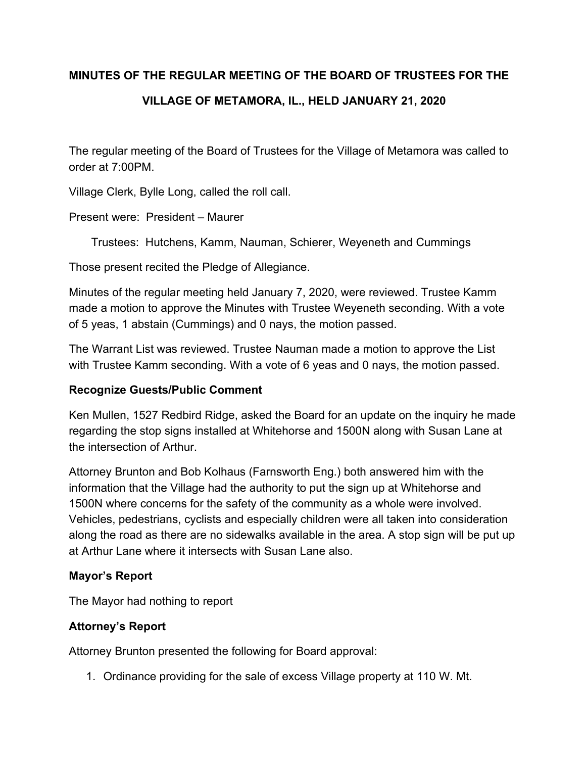# **MINUTES OF THE REGULAR MEETING OF THE BOARD OF TRUSTEES FOR THE**

# **VILLAGE OF METAMORA, IL., HELD JANUARY 21, 2020**

The regular meeting of the Board of Trustees for the Village of Metamora was called to order at 7:00PM.

Village Clerk, Bylle Long, called the roll call.

Present were: President – Maurer

Trustees: Hutchens, Kamm, Nauman, Schierer, Weyeneth and Cummings

Those present recited the Pledge of Allegiance.

Minutes of the regular meeting held January 7, 2020, were reviewed. Trustee Kamm made a motion to approve the Minutes with Trustee Weyeneth seconding. With a vote of 5 yeas, 1 abstain (Cummings) and 0 nays, the motion passed.

The Warrant List was reviewed. Trustee Nauman made a motion to approve the List with Trustee Kamm seconding. With a vote of 6 yeas and 0 nays, the motion passed.

# **Recognize Guests/Public Comment**

Ken Mullen, 1527 Redbird Ridge, asked the Board for an update on the inquiry he made regarding the stop signs installed at Whitehorse and 1500N along with Susan Lane at the intersection of Arthur.

Attorney Brunton and Bob Kolhaus (Farnsworth Eng.) both answered him with the information that the Village had the authority to put the sign up at Whitehorse and 1500N where concerns for the safety of the community as a whole were involved. Vehicles, pedestrians, cyclists and especially children were all taken into consideration along the road as there are no sidewalks available in the area. A stop sign will be put up at Arthur Lane where it intersects with Susan Lane also.

#### **Mayor's Report**

The Mayor had nothing to report

# **Attorney's Report**

Attorney Brunton presented the following for Board approval:

1. Ordinance providing for the sale of excess Village property at 110 W. Mt.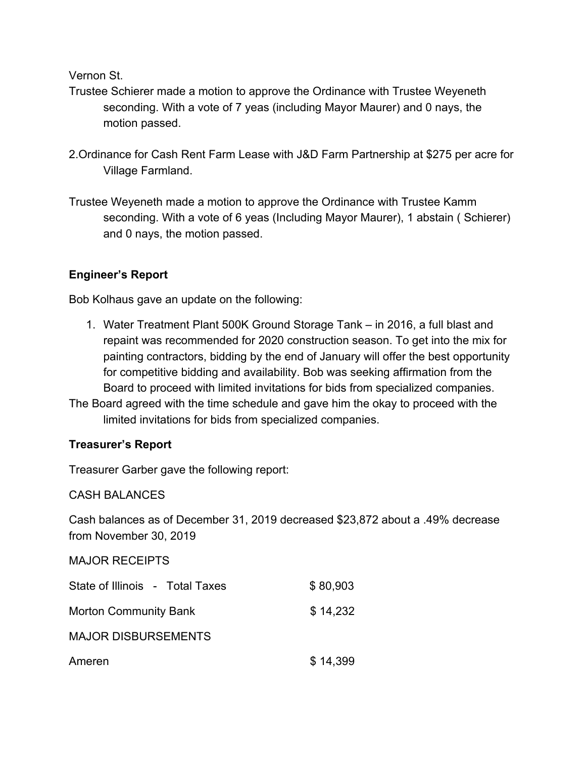Vernon St.

- Trustee Schierer made a motion to approve the Ordinance with Trustee Weyeneth seconding. With a vote of 7 yeas (including Mayor Maurer) and 0 nays, the motion passed.
- 2.Ordinance for Cash Rent Farm Lease with J&D Farm Partnership at \$275 per acre for Village Farmland.
- Trustee Weyeneth made a motion to approve the Ordinance with Trustee Kamm seconding. With a vote of 6 yeas (Including Mayor Maurer), 1 abstain ( Schierer) and 0 nays, the motion passed.

# **Engineer's Report**

Bob Kolhaus gave an update on the following:

- 1. Water Treatment Plant 500K Ground Storage Tank in 2016, a full blast and repaint was recommended for 2020 construction season. To get into the mix for painting contractors, bidding by the end of January will offer the best opportunity for competitive bidding and availability. Bob was seeking affirmation from the Board to proceed with limited invitations for bids from specialized companies.
- The Board agreed with the time schedule and gave him the okay to proceed with the limited invitations for bids from specialized companies.

# **Treasurer's Report**

Treasurer Garber gave the following report:

CASH BALANCES

Cash balances as of December 31, 2019 decreased \$23,872 about a .49% decrease from November 30, 2019

#### MAJOR RECEIPTS

| State of Illinois - Total Taxes | \$80,903 |
|---------------------------------|----------|
| <b>Morton Community Bank</b>    | \$14,232 |
| <b>MAJOR DISBURSEMENTS</b>      |          |
| Ameren                          | \$14,399 |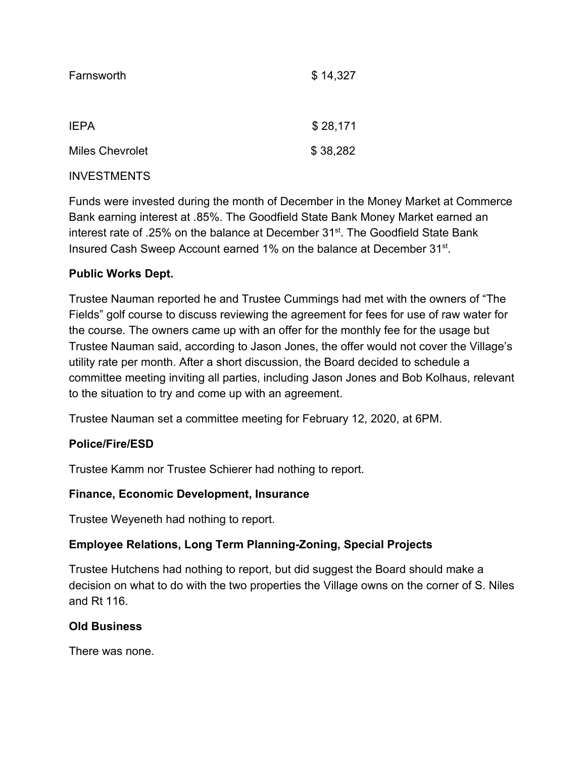| Farnsworth             | \$14,327 |
|------------------------|----------|
|                        |          |
| <b>IEPA</b>            | \$28,171 |
| <b>Miles Chevrolet</b> | \$38,282 |
|                        |          |

# INVESTMENTS

Funds were invested during the month of December in the Money Market at Commerce Bank earning interest at .85%. The Goodfield State Bank Money Market earned an interest rate of .25% on the balance at December 31<sup>st</sup>. The Goodfield State Bank Insured Cash Sweep Account earned 1% on the balance at December 31<sup>st</sup>.

# **Public Works Dept.**

Trustee Nauman reported he and Trustee Cummings had met with the owners of "The Fields" golf course to discuss reviewing the agreement for fees for use of raw water for the course. The owners came up with an offer for the monthly fee for the usage but Trustee Nauman said, according to Jason Jones, the offer would not cover the Village's utility rate per month. After a short discussion, the Board decided to schedule a committee meeting inviting all parties, including Jason Jones and Bob Kolhaus, relevant to the situation to try and come up with an agreement.

Trustee Nauman set a committee meeting for February 12, 2020, at 6PM.

# **Police/Fire/ESD**

Trustee Kamm nor Trustee Schierer had nothing to report.

# **Finance, Economic Development, Insurance**

Trustee Weyeneth had nothing to report.

# **Employee Relations, Long Term Planning-Zoning, Special Projects**

Trustee Hutchens had nothing to report, but did suggest the Board should make a decision on what to do with the two properties the Village owns on the corner of S. Niles and Rt 116.

# **Old Business**

There was none.